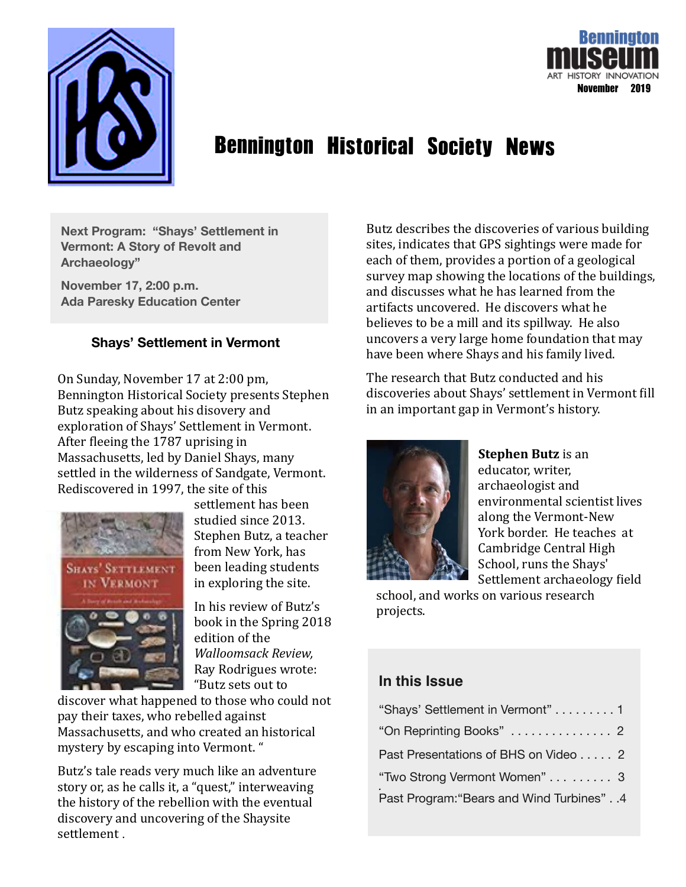



# **Bennington Historical Society News**

**Next Program: "Shays' Settlement in Vermont: A Story of Revolt and Archaeology"**

**November 17, 2:00 p.m. Ada Paresky Education Center** 

#### **Shays' Settlement in Vermont**

On Sunday, November 17 at 2:00 pm, Bennington Historical Society presents Stephen Butz speaking about his disovery and exploration of Shays' Settlement in Vermont. After fleeing the 1787 uprising in Massachusetts, led by Daniel Shays, many settled in the wilderness of Sandgate, Vermont. Rediscovered in 1997, the site of this



settlement has been studied since 2013. Stephen Butz, a teacher from New York, has been leading students in exploring the site.

In his review of Butz's book in the Spring 2018 edition of the *Walloomsack Review,*  Ray Rodrigues wrote: "Butz sets out to

discover what happened to those who could not pay their taxes, who rebelled against Massachusetts, and who created an historical mystery by escaping into Vermont. "

Butz's tale reads very much like an adventure story or, as he calls it, a "quest," interweaving the history of the rebellion with the eventual discovery and uncovering of the Shaysite settlement

Butz describes the discoveries of various building sites, indicates that GPS sightings were made for each of them, provides a portion of a geological survey map showing the locations of the buildings, and discusses what he has learned from the artifacts uncovered. He discovers what he believes to be a mill and its spillway. He also uncovers a very large home foundation that may have been where Shays and his family lived.

The research that Butz conducted and his discoveries about Shays' settlement in Vermont fill in an important gap in Vermont's history.



**Stephen Butz** is an educator, writer, archaeologist and environmental scientist lives along the Vermont-New York border. He teaches at Cambridge Central High School, runs the Shays' Settlement archaeology field

school, and works on various research projects.

### **In this Issue**

| "Shays' Settlement in Vermont" 1          |
|-------------------------------------------|
| "On Reprinting Books"  2                  |
| Past Presentations of BHS on Video 2      |
| "Two Strong Vermont Women" 3              |
| Past Program: "Bears and Wind Turbines" 4 |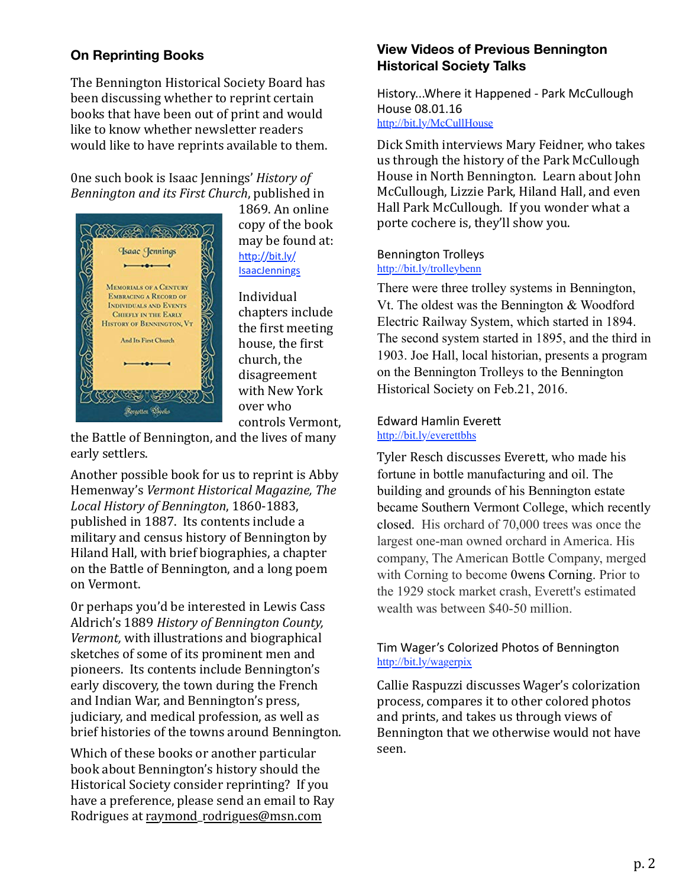## **On Reprinting Books**

The Bennington Historical Society Board has been discussing whether to reprint certain books that have been out of print and would like to know whether newsletter readers would like to have reprints available to them.

One such book is Isaac Jennings' *History of Bennington and its First Church*, published in



1869. An online copy of the book may be found at: http://bit.ly/ IsaacJennings

Individual chapters include the first meeting house, the first church, the disagreement with New York over who controls Vermont, 

the Battle of Bennington, and the lives of many early settlers.

Another possible book for us to reprint is Abby Hemenway's *Vermont Historical Magazine*, *The Local History of Bennington*, 1860-1883, published in 1887. Its contents include a military and census history of Bennington by Hiland Hall, with brief biographies, a chapter on the Battle of Bennington, and a long poem on Vermont.

Or perhaps you'd be interested in Lewis Cass Aldrich's 1889 History of Bennington County, *Vermont*, with illustrations and biographical sketches of some of its prominent men and pioneers. Its contents include Bennington's early discovery, the town during the French and Indian War, and Bennington's press, judiciary, and medical profession, as well as brief histories of the towns around Bennington.

Which of these books or another particular book about Bennington's history should the Historical Society consider reprinting? If you have a preference, please send an email to Ray Rodrigues at raymond\_rodrigues@msn.com

## **View Videos of Previous Bennington Historical Society Talks**

History...Where it Happened - Park McCullough House 08.01.16 [http://bit.ly/McCullHouse](%22)

Dick Smith interviews Mary Feidner, who takes us through the history of the Park McCullough House in North Bennington. Learn about John McCullough, Lizzie Park, Hiland Hall, and even Hall Park McCullough. If you wonder what a porte cochere is, they'll show you.

#### Bennington Trolleys [http://bit.ly/trolleybenn](%22)

There were three trolley systems in Bennington, Vt. The oldest was the Bennington & Woodford Electric Railway System, which started in 1894. The second system started in 1895, and the third in 1903. Joe Hall, local historian, presents a program on the Bennington Trolleys to the Bennington Historical Society on Feb.21, 2016.

#### Edward Hamlin Everett [http://bit.ly/everettbhs](%22)

Tyler Resch discusses Everett, who made his fortune in bottle manufacturing and oil. The building and grounds of his Bennington estate became Southern Vermont College, which recently closed. His orchard of 70,000 trees was once the largest one-man owned orchard in America. His company, The American Bottle Company, merged with Corning to become 0wens Corning. Prior to the 1929 stock market crash, Everett's estimated wealth was between \$40-50 million.

Tim Wager's Colorized Photos of Bennington [http://bit.ly/wagerpix](%22)

Callie Raspuzzi discusses Wager's colorization process, compares it to other colored photos and prints, and takes us through views of Bennington that we otherwise would not have seen.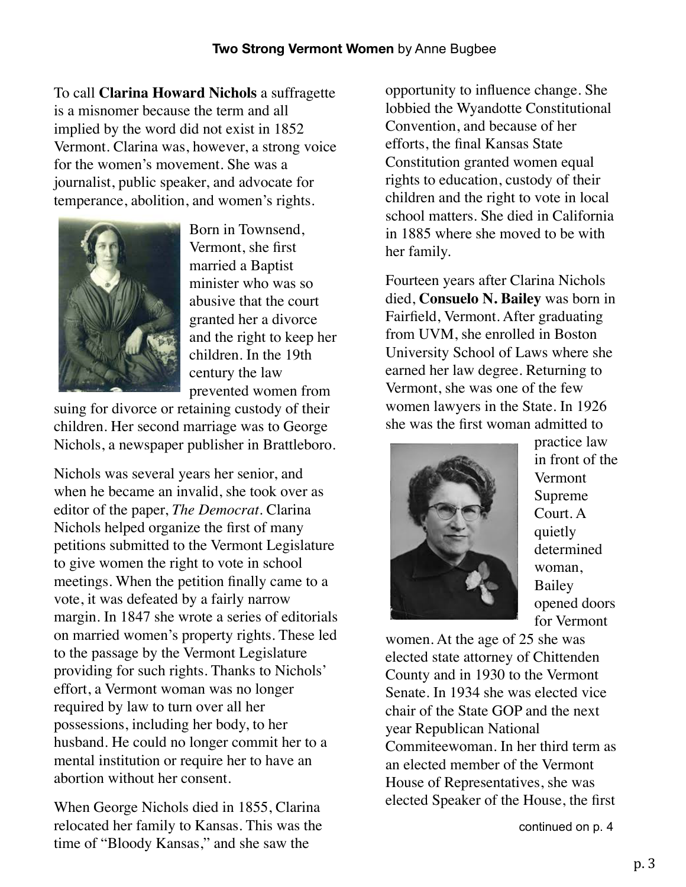To call **Clarina Howard Nichols** a suffragette is a misnomer because the term and all implied by the word did not exist in 1852 Vermont. Clarina was, however, a strong voice for the women's movement. She was a journalist, public speaker, and advocate for temperance, abolition, and women's rights.



Born in Townsend, Vermont, she first married a Baptist minister who was so abusive that the court granted her a divorce and the right to keep her children. In the 19th century the law prevented women from

suing for divorce or retaining custody of their children. Her second marriage was to George Nichols, a newspaper publisher in Brattleboro.

Nichols was several years her senior, and when he became an invalid, she took over as editor of the paper, *The Democrat*. Clarina Nichols helped organize the first of many petitions submitted to the Vermont Legislature to give women the right to vote in school meetings. When the petition finally came to a vote, it was defeated by a fairly narrow margin. In 1847 she wrote a series of editorials on married women's property rights. These led to the passage by the Vermont Legislature providing for such rights. Thanks to Nichols' effort, a Vermont woman was no longer required by law to turn over all her possessions, including her body, to her husband. He could no longer commit her to a mental institution or require her to have an abortion without her consent.

When George Nichols died in 1855, Clarina relocated her family to Kansas. This was the time of "Bloody Kansas," and she saw the

opportunity to influence change. She lobbied the Wyandotte Constitutional Convention, and because of her efforts, the final Kansas State Constitution granted women equal rights to education, custody of their children and the right to vote in local school matters. She died in California in 1885 where she moved to be with her family.

Fourteen years after Clarina Nichols died, **Consuelo N. Bailey** was born in Fairfield, Vermont. After graduating from UVM, she enrolled in Boston University School of Laws where she earned her law degree. Returning to Vermont, she was one of the few women lawyers in the State. In 1926 she was the first woman admitted to



practice law in front of the Vermont Supreme Court. A quietly determined woman, Bailey opened doors for Vermont

women. At the age of 25 she was elected state attorney of Chittenden County and in 1930 to the Vermont Senate. In 1934 she was elected vice chair of the State GOP and the next year Republican National Commiteewoman. In her third term as an elected member of the Vermont House of Representatives, she was elected Speaker of the House, the first

continued on p. 4